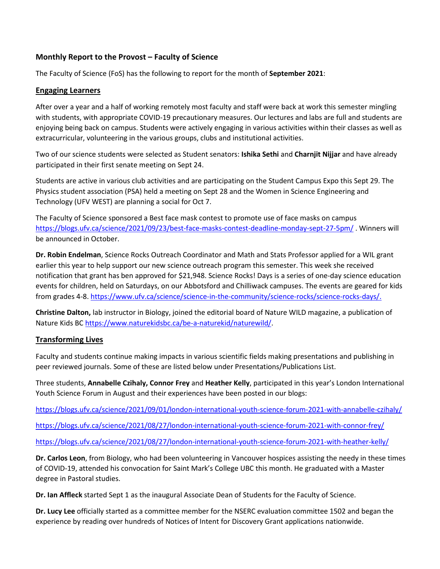### **Monthly Report to the Provost – Faculty of Science**

The Faculty of Science (FoS) has the following to report for the month of **September 2021**:

#### **Engaging Learners**

After over a year and a half of working remotely most faculty and staff were back at work this semester mingling with students, with appropriate COVID-19 precautionary measures. Our lectures and labs are full and students are enjoying being back on campus. Students were actively engaging in various activities within their classes as well as extracurricular, volunteering in the various groups, clubs and institutional activities.

Two of our science students were selected as Student senators: **Ishika Sethi** and **Charnjit Nijjar** and have already participated in their first senate meeting on Sept 24.

Students are active in various club activities and are participating on the Student Campus Expo this Sept 29. The Physics student association (PSA) held a meeting on Sept 28 and the Women in Science Engineering and Technology (UFV WEST) are planning a social for Oct 7.

The Faculty of Science sponsored a Best face mask contest to promote use of face masks on campus <https://blogs.ufv.ca/science/2021/09/23/best-face-masks-contest-deadline-monday-sept-27-5pm/> . Winners will be announced in October.

**Dr. Robin Endelman**, Science Rocks Outreach Coordinator and Math and Stats Professor applied for a WIL grant earlier this year to help support our new science outreach program this semester. This week she received notification that grant has ben approved for \$21,948. Science Rocks! Days is a series of one-day science education events for children, held on Saturdays, on our Abbotsford and Chilliwack campuses. The events are geared for kids from grades 4-8. [https://www.ufv.ca/science/science-in-the-community/science-rocks/science-rocks-days/.](https://www.ufv.ca/science/science-in-the-community/science-rocks/science-rocks-days/)

**Christine Dalton,** lab instructor in Biology, joined the editorial board of Nature WILD magazine, a publication of Nature Kids BC [https://www.naturekidsbc.ca/be-a-naturekid/naturewild/.](https://www.naturekidsbc.ca/be-a-naturekid/naturewild/)

### **Transforming Lives**

Faculty and students continue making impacts in various scientific fields making presentations and publishing in peer reviewed journals. Some of these are listed below under Presentations/Publications List.

Three students, **Annabelle Czihaly, Connor Frey** and **Heather Kelly**, participated in this year's London International Youth Science Forum in August and their experiences have been posted in our blogs:

<https://blogs.ufv.ca/science/2021/09/01/london-international-youth-science-forum-2021-with-annabelle-czihaly/>

<https://blogs.ufv.ca/science/2021/08/27/london-international-youth-science-forum-2021-with-connor-frey/>

<https://blogs.ufv.ca/science/2021/08/27/london-international-youth-science-forum-2021-with-heather-kelly/>

**Dr. Carlos Leon**, from Biology, who had been volunteering in Vancouver hospices assisting the needy in these times of COVID-19, attended his convocation for Saint Mark's College UBC this month. He graduated with a Master degree in Pastoral studies.

**Dr. Ian Affleck** started Sept 1 as the inaugural Associate Dean of Students for the Faculty of Science.

**Dr. Lucy Lee** officially started as a committee member for the NSERC evaluation committee 1502 and began the experience by reading over hundreds of Notices of Intent for Discovery Grant applications nationwide.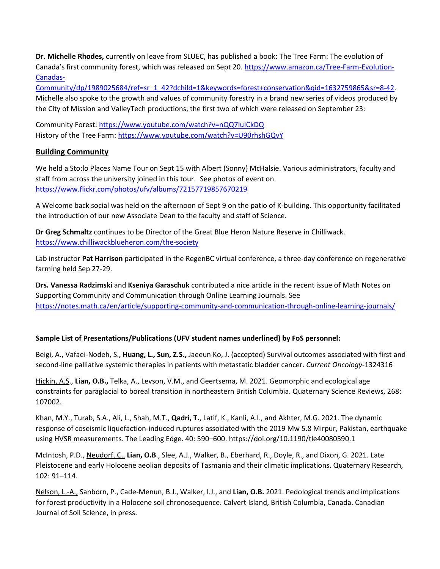**Dr. Michelle Rhodes,** currently on leave from SLUEC, has published a book: The Tree Farm: The evolution of Canada's first community forest, which was released on Sept 20. [https://www.amazon.ca/Tree-Farm-Evolution-](https://www.amazon.ca/Tree-Farm-Evolution-Canadas-Community/dp/1989025684/ref=sr_1_42?dchild=1&keywords=forest+conservation&qid=1632759865&sr=8-42)[Canadas-](https://www.amazon.ca/Tree-Farm-Evolution-Canadas-Community/dp/1989025684/ref=sr_1_42?dchild=1&keywords=forest+conservation&qid=1632759865&sr=8-42)

[Community/dp/1989025684/ref=sr\\_1\\_42?dchild=1&keywords=forest+conservation&qid=1632759865&sr=8-42.](https://www.amazon.ca/Tree-Farm-Evolution-Canadas-Community/dp/1989025684/ref=sr_1_42?dchild=1&keywords=forest+conservation&qid=1632759865&sr=8-42) Michelle also spoke to the growth and values of community forestry in a brand new series of videos produced by the City of Mission and ValleyTech productions, the first two of which were released on September 23:

Community Forest[: https://www.youtube.com/watch?v=nQQ7luICkDQ](https://can01.safelinks.protection.outlook.com/?url=https%3A%2F%2Fwww.youtube.com%2Fwatch%3Fv%3DnQQ7luICkDQ&data=04%7C01%7CCaroline.Majeau%40ufv.ca%7C88b9d5c76a004c24d18408d9820c0188%7Ca3d10b1dc22648f9a6db976df918187e%7C1%7C0%7C637683810333020273%7CUnknown%7CTWFpbGZsb3d8eyJWIjoiMC4wLjAwMDAiLCJQIjoiV2luMzIiLCJBTiI6Ik1haWwiLCJXVCI6Mn0%3D%7C1000&sdata=VuZtOZ20h6w1vepYi6YxV49GvobASM6ujEmkjsNUET0%3D&reserved=0) History of the Tree Farm: [https://www.youtube.com/watch?v=U90rhshGQvY](https://can01.safelinks.protection.outlook.com/?url=https%3A%2F%2Fwww.youtube.com%2Fwatch%3Fv%3DU90rhshGQvY&data=04%7C01%7CCaroline.Majeau%40ufv.ca%7C88b9d5c76a004c24d18408d9820c0188%7Ca3d10b1dc22648f9a6db976df918187e%7C1%7C0%7C637683810333025267%7CUnknown%7CTWFpbGZsb3d8eyJWIjoiMC4wLjAwMDAiLCJQIjoiV2luMzIiLCJBTiI6Ik1haWwiLCJXVCI6Mn0%3D%7C1000&sdata=5xeylw9UT%2F10koH6Y6%2FAQEc0vl%2F7o0B8%2FULFK%2BYZS9k%3D&reserved=0)

# **Building Community**

We held a Sto:lo Places Name Tour on Sept 15 with Albert (Sonny) McHalsie. Various administrators, faculty and staff from across the university joined in this tour. See photos of event on <https://www.flickr.com/photos/ufv/albums/72157719857670219>

A Welcome back social was held on the afternoon of Sept 9 on the patio of K-building. This opportunity facilitated the introduction of our new Associate Dean to the faculty and staff of Science.

**Dr Greg Schmaltz** continues to be Director of the Great Blue Heron Nature Reserve in Chilliwack. <https://www.chilliwackblueheron.com/the-society>

Lab instructor **Pat Harrison** participated in the RegenBC virtual conference, a three-day conference on regenerative farming held Sep 27-29.

**Drs. Vanessa Radzimski** and **Kseniya Garaschuk** contributed a nice article in the recent issue of Math Notes on Supporting Community and Communication through Online Learning Journals. See <https://notes.math.ca/en/article/supporting-community-and-communication-through-online-learning-journals/>

# **Sample List of Presentations/Publications (UFV student names underlined) by FoS personnel:**

Beigi, A., Vafaei-Nodeh, S., **Huang, L., Sun, Z.S.,** Jaeeun Ko, J. (accepted) Survival outcomes associated with first and second-line palliative systemic therapies in patients with metastatic bladder cancer. *Current Oncology*-1324316

Hickin, A.S., **Lian, O.B.,** Telka, A., Levson, V.M., and Geertsema, M. 2021. Geomorphic and ecological age constraints for paraglacial to boreal transition in northeastern British Columbia. Quaternary Science Reviews, 268: 107002.

Khan, M.Y., Turab, S.A., Ali, L., Shah, M.T., **Qadri, T.**, Latif, K., Kanli, A.I., and Akhter, M.G. 2021. The dynamic response of coseismic liquefaction-induced ruptures associated with the 2019 Mw 5.8 Mirpur, Pakistan, earthquake using HVSR measurements. The Leading Edge. 40: 590–600[. https://doi.org/10.1190/tle40080590.1](https://doi.org/10.1190/tle40080590.1)

McIntosh, P.D., Neudorf, C., **Lian, O.B**., Slee, A.J., Walker, B., Eberhard, R., Doyle, R., and Dixon, G. 2021. Late Pleistocene and early Holocene aeolian deposits of Tasmania and their climatic implications. Quaternary Research, 102: 91–114.

Nelson, L.-A., Sanborn, P., Cade-Menun, B.J., Walker, I.J., and **Lian, O.B.** 2021. Pedological trends and implications for forest productivity in a Holocene soil chronosequence. Calvert Island, British Columbia, Canada. Canadian Journal of Soil Science, in press.